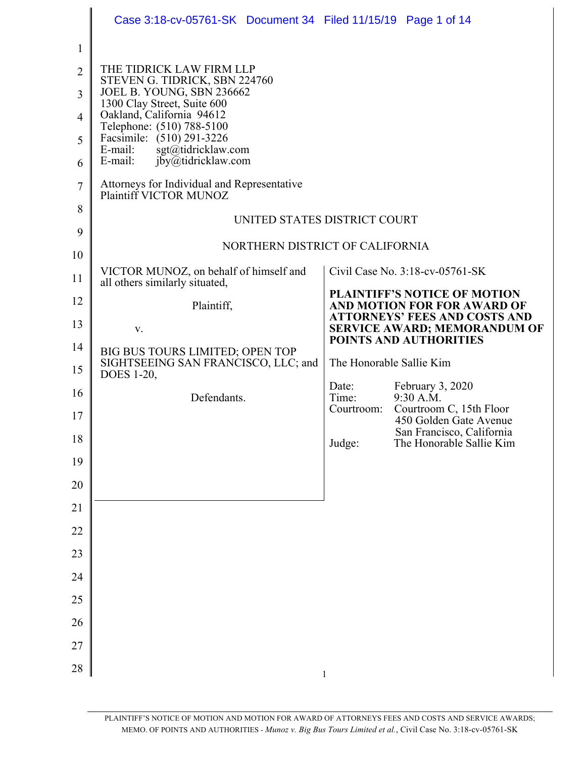|                | Case 3:18-cv-05761-SK Document 34 Filed 11/15/19 Page 1 of 14                               |                                                    |                                 |                                                                             |  |
|----------------|---------------------------------------------------------------------------------------------|----------------------------------------------------|---------------------------------|-----------------------------------------------------------------------------|--|
| 1              |                                                                                             |                                                    |                                 |                                                                             |  |
| $\overline{2}$ | THE TIDRICK LAW FIRM LLP<br>STEVEN G. TIDRICK, SBN 224760                                   |                                                    |                                 |                                                                             |  |
| 3              | JOEL B. YOUNG, SBN 236662<br>1300 Clay Street, Suite 600                                    |                                                    |                                 |                                                                             |  |
| 4              | Oakland, California 94612<br>Telephone: (510) 788-5100                                      |                                                    |                                 |                                                                             |  |
| 5<br>6         | Facsimile: (510) 291-3226<br>E-mail:<br>sgt@tidricklaw.com<br>E-mail:<br>jby@tidricklaw.com |                                                    |                                 |                                                                             |  |
| 7              | Attorneys for Individual and Representative<br>Plaintiff VICTOR MUNOZ                       |                                                    |                                 |                                                                             |  |
| 8              | UNITED STATES DISTRICT COURT                                                                |                                                    |                                 |                                                                             |  |
| 9<br>10        |                                                                                             |                                                    | NORTHERN DISTRICT OF CALIFORNIA |                                                                             |  |
| 11             | VICTOR MUNOZ, on behalf of himself and<br>all others similarly situated,                    |                                                    |                                 | Civil Case No. 3:18-cv-05761-SK                                             |  |
| 12             | Plaintiff,                                                                                  |                                                    |                                 | <b>PLAINTIFF'S NOTICE OF MOTION</b><br>AND MOTION FOR FOR AWARD OF          |  |
| 13             | V.                                                                                          |                                                    |                                 | <b>ATTORNEYS' FEES AND COSTS AND</b><br><b>SERVICE AWARD; MEMORANDUM OF</b> |  |
| 14             | BIG BUS TOURS LIMITED; OPEN TOP<br>SIGHTSEEING SAN FRANCISCO, LLC; and                      | POINTS AND AUTHORITIES<br>The Honorable Sallie Kim |                                 |                                                                             |  |
| 15             | DOES 1-20,                                                                                  |                                                    | Date:                           | February 3, 2020                                                            |  |
| 16             | Defendants.                                                                                 |                                                    | Time:<br>Courtroom:             | 9:30 A.M.<br>Courtroom C, 15th Floor                                        |  |
| 17             |                                                                                             |                                                    |                                 | 450 Golden Gate Avenue<br>San Francisco. California                         |  |
| 18             |                                                                                             |                                                    | Judge:                          | The Honorable Sallie Kim                                                    |  |
| 19             |                                                                                             |                                                    |                                 |                                                                             |  |
| 20             |                                                                                             |                                                    |                                 |                                                                             |  |
| 21             |                                                                                             |                                                    |                                 |                                                                             |  |
| 22             |                                                                                             |                                                    |                                 |                                                                             |  |
| 23             |                                                                                             |                                                    |                                 |                                                                             |  |
| 24             |                                                                                             |                                                    |                                 |                                                                             |  |
| 25             |                                                                                             |                                                    |                                 |                                                                             |  |
| 26             |                                                                                             |                                                    |                                 |                                                                             |  |
| 27             |                                                                                             |                                                    |                                 |                                                                             |  |
| 28             |                                                                                             |                                                    | 1                               |                                                                             |  |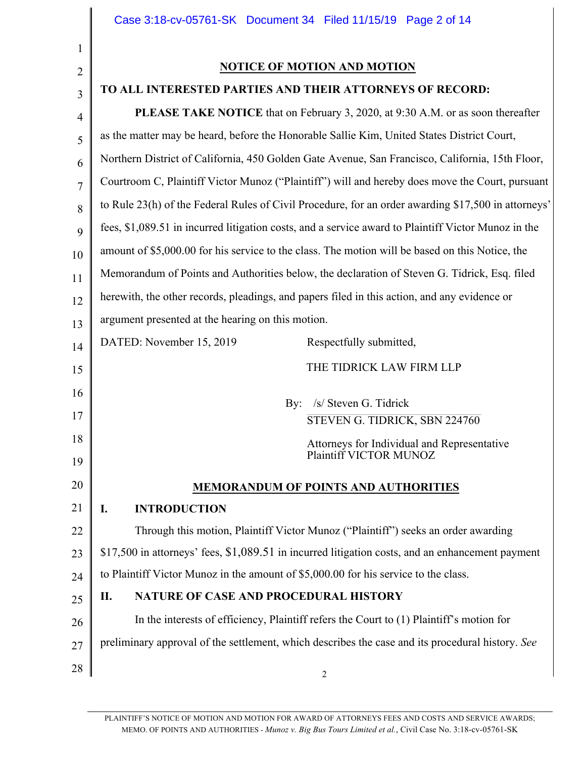|                | Case 3:18-cv-05761-SK Document 34 Filed 11/15/19 Page 2 of 14                                       |  |  |  |  |
|----------------|-----------------------------------------------------------------------------------------------------|--|--|--|--|
| $\mathbf{1}$   |                                                                                                     |  |  |  |  |
| $\overline{2}$ | NOTICE OF MOTION AND MOTION                                                                         |  |  |  |  |
| $\overline{3}$ | TO ALL INTERESTED PARTIES AND THEIR ATTORNEYS OF RECORD:                                            |  |  |  |  |
| $\overline{4}$ | <b>PLEASE TAKE NOTICE</b> that on February 3, 2020, at 9:30 A.M. or as soon thereafter              |  |  |  |  |
| 5              | as the matter may be heard, before the Honorable Sallie Kim, United States District Court,          |  |  |  |  |
| 6              | Northern District of California, 450 Golden Gate Avenue, San Francisco, California, 15th Floor,     |  |  |  |  |
| $\overline{7}$ | Courtroom C, Plaintiff Victor Munoz ("Plaintiff") will and hereby does move the Court, pursuant     |  |  |  |  |
| 8              | to Rule 23(h) of the Federal Rules of Civil Procedure, for an order awarding \$17,500 in attorneys' |  |  |  |  |
| 9              | fees, \$1,089.51 in incurred litigation costs, and a service award to Plaintiff Victor Munoz in the |  |  |  |  |
| 10             | amount of \$5,000.00 for his service to the class. The motion will be based on this Notice, the     |  |  |  |  |
| 11             | Memorandum of Points and Authorities below, the declaration of Steven G. Tidrick, Esq. filed        |  |  |  |  |
| 12             | herewith, the other records, pleadings, and papers filed in this action, and any evidence or        |  |  |  |  |
| 13             | argument presented at the hearing on this motion.                                                   |  |  |  |  |
| 14             | DATED: November 15, 2019<br>Respectfully submitted,                                                 |  |  |  |  |
| 15             | THE TIDRICK LAW FIRM LLP                                                                            |  |  |  |  |
| 16             | /s/ Steven G. Tidrick<br>By:                                                                        |  |  |  |  |
| 17             | STEVEN G. TIDRICK, SBN 224760                                                                       |  |  |  |  |
| 18             | Attorneys for Individual and Representative                                                         |  |  |  |  |
| 19             | Plaintiff VICTOR MUNOZ                                                                              |  |  |  |  |
| 20             | <b>MEMORANDUM OF POINTS AND AUTHORITIES</b>                                                         |  |  |  |  |
| 21             | <b>INTRODUCTION</b><br>I.                                                                           |  |  |  |  |
| 22             | Through this motion, Plaintiff Victor Munoz ("Plaintiff") seeks an order awarding                   |  |  |  |  |
| 23             | \$17,500 in attorneys' fees, \$1,089.51 in incurred litigation costs, and an enhancement payment    |  |  |  |  |
| 24             | to Plaintiff Victor Munoz in the amount of \$5,000.00 for his service to the class.                 |  |  |  |  |
| 25             | NATURE OF CASE AND PROCEDURAL HISTORY<br>П.                                                         |  |  |  |  |
| 26             | In the interests of efficiency, Plaintiff refers the Court to (1) Plaintiff's motion for            |  |  |  |  |
| 27             | preliminary approval of the settlement, which describes the case and its procedural history. See    |  |  |  |  |
| 28             | 2                                                                                                   |  |  |  |  |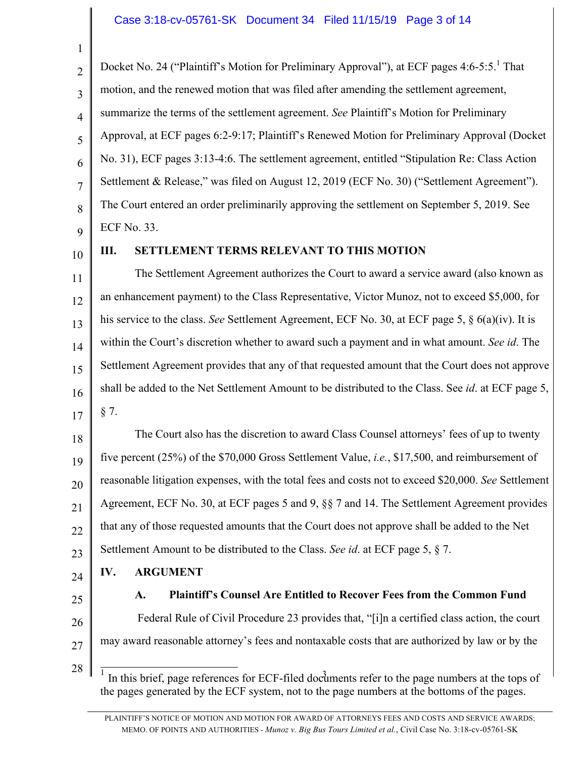## Case 3:18-cv-05761-SK Document 34 Filed 11/15/19 Page 3 of 14

3 Docket No. 24 ("Plaintiff's Motion for Preliminary Approval"), at ECF pages 4:6-5:5.<sup>1</sup> That motion, and the renewed motion that was filed after amending the settlement agreement, summarize the terms of the settlement agreement. *See* Plaintiff's Motion for Preliminary Approval, at ECF pages 6:2-9:17; Plaintiff's Renewed Motion for Preliminary Approval (Docket No. 31), ECF pages 3:13-4:6. The settlement agreement, entitled "Stipulation Re: Class Action Settlement & Release," was filed on August 12, 2019 (ECF No. 30) ("Settlement Agreement"). The Court entered an order preliminarily approving the settlement on September 5, 2019. See ECF No. 33.

9 10

1

2

4

5

6

7

8

## **III. SETTLEMENT TERMS RELEVANT TO THIS MOTION**

11 12 13 14 15 16 17 The Settlement Agreement authorizes the Court to award a service award (also known as an enhancement payment) to the Class Representative, Victor Munoz, not to exceed \$5,000, for his service to the class. *See* Settlement Agreement, ECF No. 30, at ECF page 5, § 6(a)(iv). It is within the Court's discretion whether to award such a payment and in what amount. *See id*. The Settlement Agreement provides that any of that requested amount that the Court does not approve shall be added to the Net Settlement Amount to be distributed to the Class. See *id*. at ECF page 5, § 7.

18 19 20 21 22 23 The Court also has the discretion to award Class Counsel attorneys' fees of up to twenty five percent (25%) of the \$70,000 Gross Settlement Value, *i.e.*, \$17,500, and reimbursement of reasonable litigation expenses, with the total fees and costs not to exceed \$20,000. *See* Settlement Agreement, ECF No. 30, at ECF pages 5 and 9, §§ 7 and 14. The Settlement Agreement provides that any of those requested amounts that the Court does not approve shall be added to the Net Settlement Amount to be distributed to the Class. *See id*. at ECF page 5, § 7.

- 24 **IV. ARGUMENT**
- 25 26

**A. Plaintiff's Counsel Are Entitled to Recover Fees from the Common Fund** Federal Rule of Civil Procedure 23 provides that, "[i]n a certified class action, the court may award reasonable attorney's fees and nontaxable costs that are authorized by law or by the

28

27

 $\frac{1}{1}$  In this brief, page references for ECF-filed documents refer to the page numbers at the tops of the pages generated by the ECF system, not to the page numbers at the bottoms of the pages.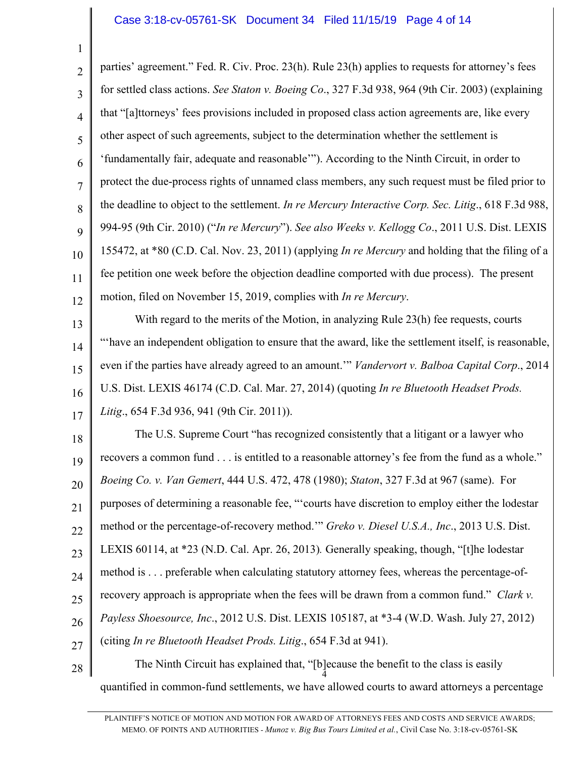## Case 3:18-cv-05761-SK Document 34 Filed 11/15/19 Page 4 of 14

1

2 3 4 5 6 7 8 9 10 11 12 parties' agreement." Fed. R. Civ. Proc. 23(h). Rule 23(h) applies to requests for attorney's fees for settled class actions. *See Staton v. Boeing Co*., 327 F.3d 938, 964 (9th Cir. 2003) (explaining that "[a]ttorneys' fees provisions included in proposed class action agreements are, like every other aspect of such agreements, subject to the determination whether the settlement is 'fundamentally fair, adequate and reasonable'"). According to the Ninth Circuit, in order to protect the due-process rights of unnamed class members, any such request must be filed prior to the deadline to object to the settlement. *In re Mercury Interactive Corp. Sec. Litig*., 618 F.3d 988, 994-95 (9th Cir. 2010) ("*In re Mercury*"). *See also Weeks v. Kellogg Co*., 2011 U.S. Dist. LEXIS 155472, at \*80 (C.D. Cal. Nov. 23, 2011) (applying *In re Mercury* and holding that the filing of a fee petition one week before the objection deadline comported with due process). The present motion, filed on November 15, 2019, complies with *In re Mercury*.

13 14 15 16 17 With regard to the merits of the Motion, in analyzing Rule 23(h) fee requests, courts "'have an independent obligation to ensure that the award, like the settlement itself, is reasonable, even if the parties have already agreed to an amount.'" *Vandervort v. Balboa Capital Corp*., 2014 U.S. Dist. LEXIS 46174 (C.D. Cal. Mar. 27, 2014) (quoting *In re Bluetooth Headset Prods. Litig*., 654 F.3d 936, 941 (9th Cir. 2011)).

18 19 20 21 22 23 24 25 26 27 The U.S. Supreme Court "has recognized consistently that a litigant or a lawyer who recovers a common fund . . . is entitled to a reasonable attorney's fee from the fund as a whole." *Boeing Co. v. Van Gemert*, 444 U.S. 472, 478 (1980); *Staton*, 327 F.3d at 967 (same). For purposes of determining a reasonable fee, "'courts have discretion to employ either the lodestar method or the percentage-of-recovery method.'" *Greko v. Diesel U.S.A., Inc*., 2013 U.S. Dist. LEXIS 60114, at \*23 (N.D. Cal. Apr. 26, 2013)*.* Generally speaking, though, "[t]he lodestar method is . . . preferable when calculating statutory attorney fees, whereas the percentage-ofrecovery approach is appropriate when the fees will be drawn from a common fund." *Clark v. Payless Shoesource, Inc*., 2012 U.S. Dist. LEXIS 105187, at \*3-4 (W.D. Wash. July 27, 2012) (citing *In re Bluetooth Headset Prods. Litig*., 654 F.3d at 941).

28 4 The Ninth Circuit has explained that, "[b]ecause the benefit to the class is easily quantified in common-fund settlements, we have allowed courts to award attorneys a percentage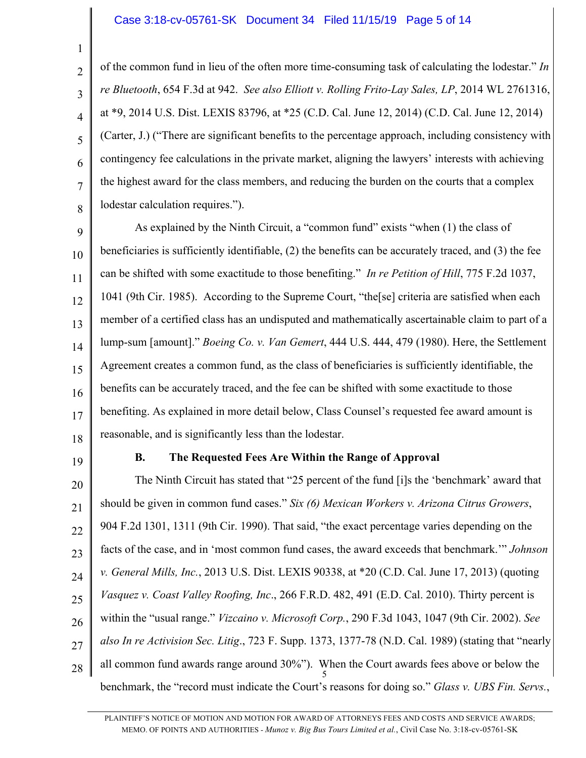#### Case 3:18-cv-05761-SK Document 34 Filed 11/15/19 Page 5 of 14

1

2

3

4

5

6

7

8

of the common fund in lieu of the often more time-consuming task of calculating the lodestar." *In re Bluetooth*, 654 F.3d at 942. *See also Elliott v. Rolling Frito-Lay Sales, LP*, 2014 WL 2761316, at \*9, 2014 U.S. Dist. LEXIS 83796, at \*25 (C.D. Cal. June 12, 2014) (C.D. Cal. June 12, 2014) (Carter, J.) ("There are significant benefits to the percentage approach, including consistency with contingency fee calculations in the private market, aligning the lawyers' interests with achieving the highest award for the class members, and reducing the burden on the courts that a complex lodestar calculation requires.").

9 10 11 12 13 14 15 16 17 18 As explained by the Ninth Circuit, a "common fund" exists "when (1) the class of beneficiaries is sufficiently identifiable, (2) the benefits can be accurately traced, and (3) the fee can be shifted with some exactitude to those benefiting." *In re Petition of Hill*, 775 F.2d 1037, 1041 (9th Cir. 1985). According to the Supreme Court, "the[se] criteria are satisfied when each member of a certified class has an undisputed and mathematically ascertainable claim to part of a lump-sum [amount]." *Boeing Co. v. Van Gemert*, 444 U.S. 444, 479 (1980). Here, the Settlement Agreement creates a common fund, as the class of beneficiaries is sufficiently identifiable, the benefits can be accurately traced, and the fee can be shifted with some exactitude to those benefiting. As explained in more detail below, Class Counsel's requested fee award amount is reasonable, and is significantly less than the lodestar.

19

# **B. The Requested Fees Are Within the Range of Approval**

20 21 22 23 24 25 26 27 28 5 The Ninth Circuit has stated that "25 percent of the fund [i]s the 'benchmark' award that should be given in common fund cases." *Six (6) Mexican Workers v. Arizona Citrus Growers*, 904 F.2d 1301, 1311 (9th Cir. 1990). That said, "the exact percentage varies depending on the facts of the case, and in 'most common fund cases, the award exceeds that benchmark.'" *Johnson v. General Mills, Inc.*, 2013 U.S. Dist. LEXIS 90338, at \*20 (C.D. Cal. June 17, 2013) (quoting *Vasquez v. Coast Valley Roofing, Inc*., 266 F.R.D. 482, 491 (E.D. Cal. 2010). Thirty percent is within the "usual range." *Vizcaino v. Microsoft Corp.*, 290 F.3d 1043, 1047 (9th Cir. 2002). *See also In re Activision Sec. Litig*., 723 F. Supp. 1373, 1377-78 (N.D. Cal. 1989) (stating that "nearly all common fund awards range around 30%"). When the Court awards fees above or below the benchmark, the "record must indicate the Court's reasons for doing so." *Glass v. UBS Fin. Servs.*,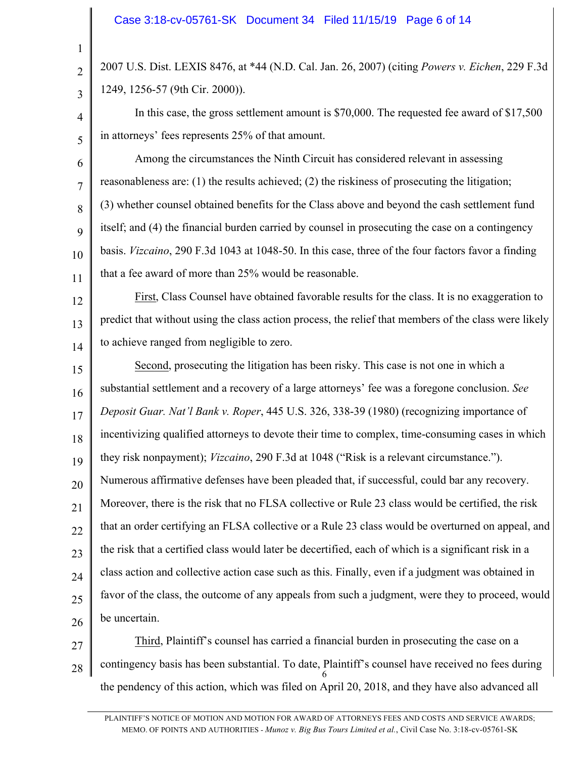2

3

4

5

2007 U.S. Dist. LEXIS 8476, at \*44 (N.D. Cal. Jan. 26, 2007) (citing *Powers v. Eichen*, 229 F.3d 1249, 1256-57 (9th Cir. 2000)).

In this case, the gross settlement amount is \$70,000. The requested fee award of \$17,500 in attorneys' fees represents 25% of that amount.

6 7 8 9 10 11 Among the circumstances the Ninth Circuit has considered relevant in assessing reasonableness are: (1) the results achieved; (2) the riskiness of prosecuting the litigation; (3) whether counsel obtained benefits for the Class above and beyond the cash settlement fund itself; and (4) the financial burden carried by counsel in prosecuting the case on a contingency basis. *Vizcaino*, 290 F.3d 1043 at 1048-50. In this case, three of the four factors favor a finding that a fee award of more than 25% would be reasonable.

12 13 14 First, Class Counsel have obtained favorable results for the class. It is no exaggeration to predict that without using the class action process, the relief that members of the class were likely to achieve ranged from negligible to zero.

15 16 17 18 19 20 21 22 23 24 25 26 Second, prosecuting the litigation has been risky. This case is not one in which a substantial settlement and a recovery of a large attorneys' fee was a foregone conclusion. *See Deposit Guar. Nat'l Bank v. Roper*, 445 U.S. 326, 338-39 (1980) (recognizing importance of incentivizing qualified attorneys to devote their time to complex, time-consuming cases in which they risk nonpayment); *Vizcaino*, 290 F.3d at 1048 ("Risk is a relevant circumstance."). Numerous affirmative defenses have been pleaded that, if successful, could bar any recovery. Moreover, there is the risk that no FLSA collective or Rule 23 class would be certified, the risk that an order certifying an FLSA collective or a Rule 23 class would be overturned on appeal, and the risk that a certified class would later be decertified, each of which is a significant risk in a class action and collective action case such as this. Finally, even if a judgment was obtained in favor of the class, the outcome of any appeals from such a judgment, were they to proceed, would be uncertain.

27 28 6 Third, Plaintiff's counsel has carried a financial burden in prosecuting the case on a contingency basis has been substantial. To date, Plaintiff's counsel have received no fees during the pendency of this action, which was filed on April 20, 2018, and they have also advanced all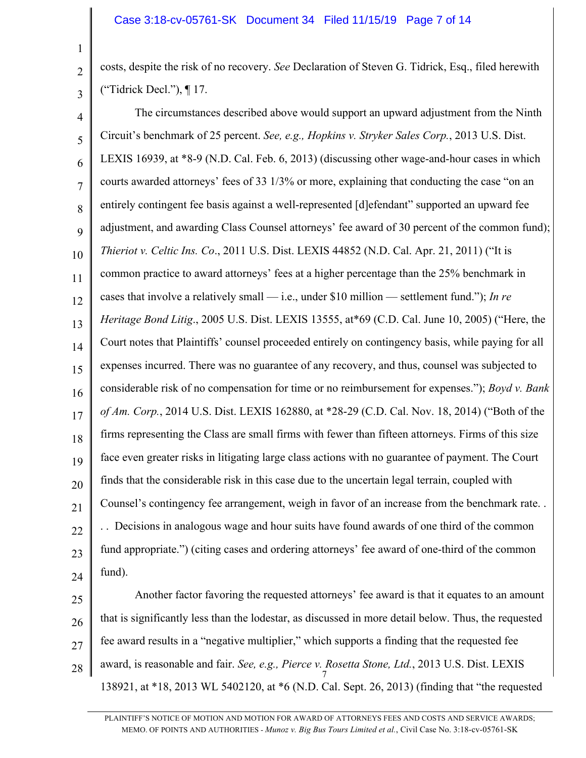2

3

costs, despite the risk of no recovery. *See* Declaration of Steven G. Tidrick, Esq., filed herewith ("Tidrick Decl."), ¶ 17.

4 5 6 7 8 9 10 11 12 13 14 15 16 17 18 19 20 21 22 23 24 The circumstances described above would support an upward adjustment from the Ninth Circuit's benchmark of 25 percent. *See, e.g., Hopkins v. Stryker Sales Corp.*, 2013 U.S. Dist. LEXIS 16939, at \*8-9 (N.D. Cal. Feb. 6, 2013) (discussing other wage-and-hour cases in which courts awarded attorneys' fees of 33 1/3% or more, explaining that conducting the case "on an entirely contingent fee basis against a well-represented [d]efendant" supported an upward fee adjustment, and awarding Class Counsel attorneys' fee award of 30 percent of the common fund); *Thieriot v. Celtic Ins. Co*., 2011 U.S. Dist. LEXIS 44852 (N.D. Cal. Apr. 21, 2011) ("It is common practice to award attorneys' fees at a higher percentage than the 25% benchmark in cases that involve a relatively small — i.e., under \$10 million — settlement fund."); *In re Heritage Bond Litig*., 2005 U.S. Dist. LEXIS 13555, at\*69 (C.D. Cal. June 10, 2005) ("Here, the Court notes that Plaintiffs' counsel proceeded entirely on contingency basis, while paying for all expenses incurred. There was no guarantee of any recovery, and thus, counsel was subjected to considerable risk of no compensation for time or no reimbursement for expenses."); *Boyd v. Bank of Am. Corp.*, 2014 U.S. Dist. LEXIS 162880, at \*28-29 (C.D. Cal. Nov. 18, 2014) ("Both of the firms representing the Class are small firms with fewer than fifteen attorneys. Firms of this size face even greater risks in litigating large class actions with no guarantee of payment. The Court finds that the considerable risk in this case due to the uncertain legal terrain, coupled with Counsel's contingency fee arrangement, weigh in favor of an increase from the benchmark rate. . . . Decisions in analogous wage and hour suits have found awards of one third of the common fund appropriate.") (citing cases and ordering attorneys' fee award of one-third of the common fund).

25 26 27 28 7 Another factor favoring the requested attorneys' fee award is that it equates to an amount that is significantly less than the lodestar, as discussed in more detail below. Thus, the requested fee award results in a "negative multiplier," which supports a finding that the requested fee award, is reasonable and fair. *See, e.g., Pierce v. Rosetta Stone, Ltd.*, 2013 U.S. Dist. LEXIS 138921, at \*18, 2013 WL 5402120, at \*6 (N.D. Cal. Sept. 26, 2013) (finding that "the requested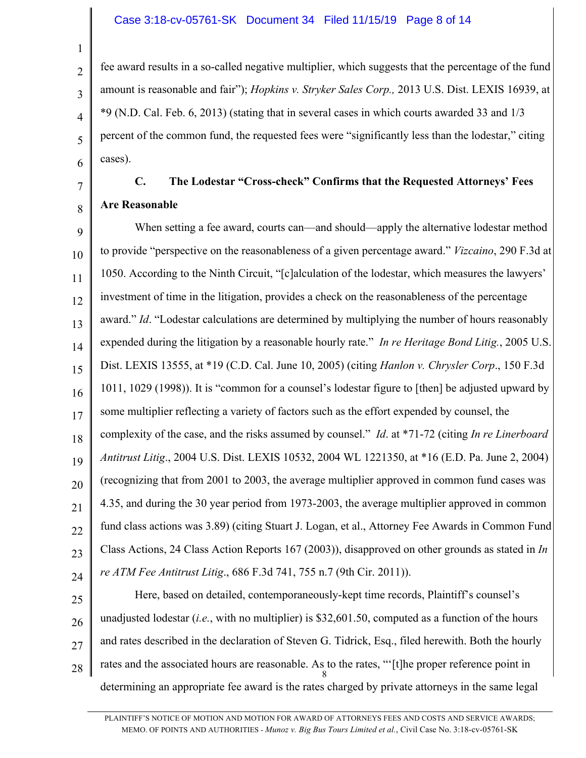## Case 3:18-cv-05761-SK Document 34 Filed 11/15/19 Page 8 of 14

fee award results in a so-called negative multiplier, which suggests that the percentage of the fund amount is reasonable and fair"); *Hopkins v. Stryker Sales Corp.,* 2013 U.S. Dist. LEXIS 16939, at \*9 (N.D. Cal. Feb. 6, 2013) (stating that in several cases in which courts awarded 33 and 1/3 percent of the common fund, the requested fees were "significantly less than the lodestar," citing cases).

# **C. The Lodestar "Cross-check" Confirms that the Requested Attorneys' Fees Are Reasonable**

1

2

3

4

5

6

7

8

9 10 11 12 13 14 15 16 17 18 19 20 21 22 23 24 When setting a fee award, courts can—and should—apply the alternative lodestar method to provide "perspective on the reasonableness of a given percentage award." *Vizcaino*, 290 F.3d at 1050. According to the Ninth Circuit, "[c]alculation of the lodestar, which measures the lawyers' investment of time in the litigation, provides a check on the reasonableness of the percentage award." *Id*. "Lodestar calculations are determined by multiplying the number of hours reasonably expended during the litigation by a reasonable hourly rate." *In re Heritage Bond Litig.*, 2005 U.S. Dist. LEXIS 13555, at \*19 (C.D. Cal. June 10, 2005) (citing *Hanlon v. Chrysler Corp*., 150 F.3d 1011, 1029 (1998)). It is "common for a counsel's lodestar figure to [then] be adjusted upward by some multiplier reflecting a variety of factors such as the effort expended by counsel, the complexity of the case, and the risks assumed by counsel." *Id*. at \*71-72 (citing *In re Linerboard Antitrust Litig*., 2004 U.S. Dist. LEXIS 10532, 2004 WL 1221350, at \*16 (E.D. Pa. June 2, 2004) (recognizing that from 2001 to 2003, the average multiplier approved in common fund cases was 4.35, and during the 30 year period from 1973-2003, the average multiplier approved in common fund class actions was 3.89) (citing Stuart J. Logan, et al., Attorney Fee Awards in Common Fund Class Actions, 24 Class Action Reports 167 (2003)), disapproved on other grounds as stated in *In re ATM Fee Antitrust Litig*., 686 F.3d 741, 755 n.7 (9th Cir. 2011)).

25 26 27 28 8 Here, based on detailed, contemporaneously-kept time records, Plaintiff's counsel's unadjusted lodestar (*i.e.*, with no multiplier) is \$32,601.50, computed as a function of the hours and rates described in the declaration of Steven G. Tidrick, Esq., filed herewith. Both the hourly rates and the associated hours are reasonable. As to the rates, "'[t]he proper reference point in determining an appropriate fee award is the rates charged by private attorneys in the same legal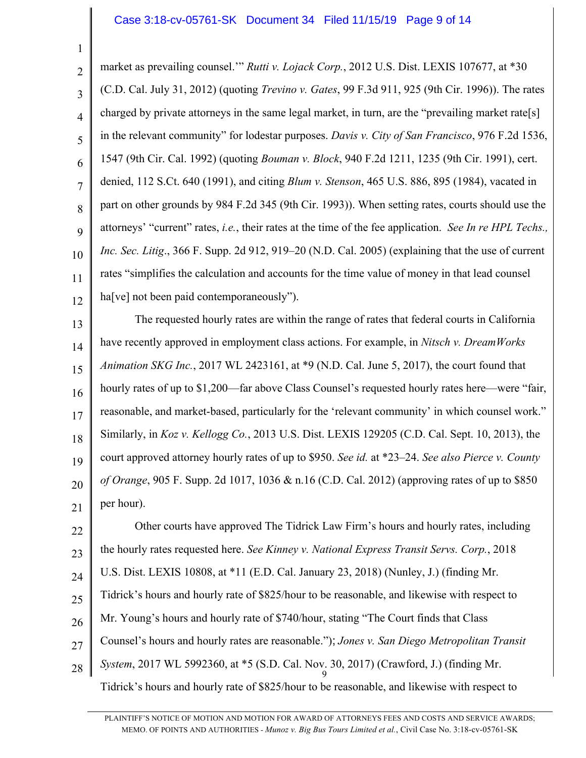#### Case 3:18-cv-05761-SK Document 34 Filed 11/15/19 Page 9 of 14

1

2 3 4 5 6 7 8 9 10 11 12 market as prevailing counsel.'" *Rutti v. Lojack Corp.*, 2012 U.S. Dist. LEXIS 107677, at \*30 (C.D. Cal. July 31, 2012) (quoting *Trevino v. Gates*, 99 F.3d 911, 925 (9th Cir. 1996)). The rates charged by private attorneys in the same legal market, in turn, are the "prevailing market rate[s] in the relevant community" for lodestar purposes. *Davis v. City of San Francisco*, 976 F.2d 1536, 1547 (9th Cir. Cal. 1992) (quoting *Bouman v. Block*, 940 F.2d 1211, 1235 (9th Cir. 1991), cert. denied, 112 S.Ct. 640 (1991), and citing *Blum v. Stenson*, 465 U.S. 886, 895 (1984), vacated in part on other grounds by 984 F.2d 345 (9th Cir. 1993)). When setting rates, courts should use the attorneys' "current" rates, *i.e.*, their rates at the time of the fee application. *See In re HPL Techs., Inc. Sec. Litig*., 366 F. Supp. 2d 912, 919–20 (N.D. Cal. 2005) (explaining that the use of current rates "simplifies the calculation and accounts for the time value of money in that lead counsel ha<sup>[ve]</sup> not been paid contemporaneously").

13 14 15 16 17 18 19 20 21 The requested hourly rates are within the range of rates that federal courts in California have recently approved in employment class actions. For example, in *Nitsch v. DreamWorks Animation SKG Inc.*, 2017 WL 2423161, at \*9 (N.D. Cal. June 5, 2017), the court found that hourly rates of up to \$1,200—far above Class Counsel's requested hourly rates here—were "fair, reasonable, and market-based, particularly for the 'relevant community' in which counsel work." Similarly, in *Koz v. Kellogg Co.*, 2013 U.S. Dist. LEXIS 129205 (C.D. Cal. Sept. 10, 2013), the court approved attorney hourly rates of up to \$950. *See id.* at \*23–24. *See also Pierce v. County of Orange*, 905 F. Supp. 2d 1017, 1036 & n.16 (C.D. Cal. 2012) (approving rates of up to \$850 per hour).

22 23 24 25 26 27 28 9 Other courts have approved The Tidrick Law Firm's hours and hourly rates, including the hourly rates requested here. *See Kinney v. National Express Transit Servs. Corp.*, 2018 U.S. Dist. LEXIS 10808, at \*11 (E.D. Cal. January 23, 2018) (Nunley, J.) (finding Mr. Tidrick's hours and hourly rate of \$825/hour to be reasonable, and likewise with respect to Mr. Young's hours and hourly rate of \$740/hour, stating "The Court finds that Class Counsel's hours and hourly rates are reasonable."); *Jones v. San Diego Metropolitan Transit System*, 2017 WL 5992360, at \*5 (S.D. Cal. Nov. 30, 2017) (Crawford, J.) (finding Mr. Tidrick's hours and hourly rate of \$825/hour to be reasonable, and likewise with respect to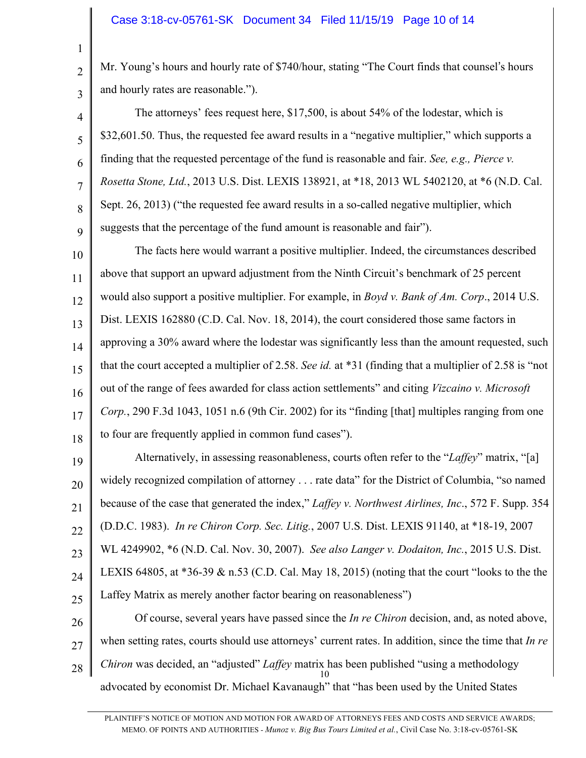2

3

5

7

8

9

Mr. Young's hours and hourly rate of \$740/hour, stating "The Court finds that counsel's hours and hourly rates are reasonable.").

4 6 The attorneys' fees request here, \$17,500, is about 54% of the lodestar, which is \$32,601.50. Thus, the requested fee award results in a "negative multiplier," which supports a finding that the requested percentage of the fund is reasonable and fair. *See, e.g., Pierce v. Rosetta Stone, Ltd.*, 2013 U.S. Dist. LEXIS 138921, at \*18, 2013 WL 5402120, at \*6 (N.D. Cal. Sept. 26, 2013) ("the requested fee award results in a so-called negative multiplier, which suggests that the percentage of the fund amount is reasonable and fair").

10 11 12 13 14 15 16 17 18 The facts here would warrant a positive multiplier. Indeed, the circumstances described above that support an upward adjustment from the Ninth Circuit's benchmark of 25 percent would also support a positive multiplier. For example, in *Boyd v. Bank of Am. Corp*., 2014 U.S. Dist. LEXIS 162880 (C.D. Cal. Nov. 18, 2014), the court considered those same factors in approving a 30% award where the lodestar was significantly less than the amount requested, such that the court accepted a multiplier of 2.58. *See id.* at \*31 (finding that a multiplier of 2.58 is "not out of the range of fees awarded for class action settlements" and citing *Vizcaino v. Microsoft Corp.*, 290 F.3d 1043, 1051 n.6 (9th Cir. 2002) for its "finding [that] multiples ranging from one to four are frequently applied in common fund cases").

19 20 21 22 23 24 25 Alternatively, in assessing reasonableness, courts often refer to the "*Laffey*" matrix, "[a] widely recognized compilation of attorney . . . rate data" for the District of Columbia, "so named because of the case that generated the index," *Laffey v. Northwest Airlines, Inc*., 572 F. Supp. 354 (D.D.C. 1983). *In re Chiron Corp. Sec. Litig.*, 2007 U.S. Dist. LEXIS 91140, at \*18-19, 2007 WL 4249902, \*6 (N.D. Cal. Nov. 30, 2007). *See also Langer v. Dodaiton, Inc.*, 2015 U.S. Dist. LEXIS 64805, at \*36-39 & n.53 (C.D. Cal. May 18, 2015) (noting that the court "looks to the the Laffey Matrix as merely another factor bearing on reasonableness")

26 27 28 10 Of course, several years have passed since the *In re Chiron* decision, and, as noted above, when setting rates, courts should use attorneys' current rates. In addition, since the time that *In re Chiron* was decided, an "adjusted" *Laffey* matrix has been published "using a methodology advocated by economist Dr. Michael Kavanaugh" that "has been used by the United States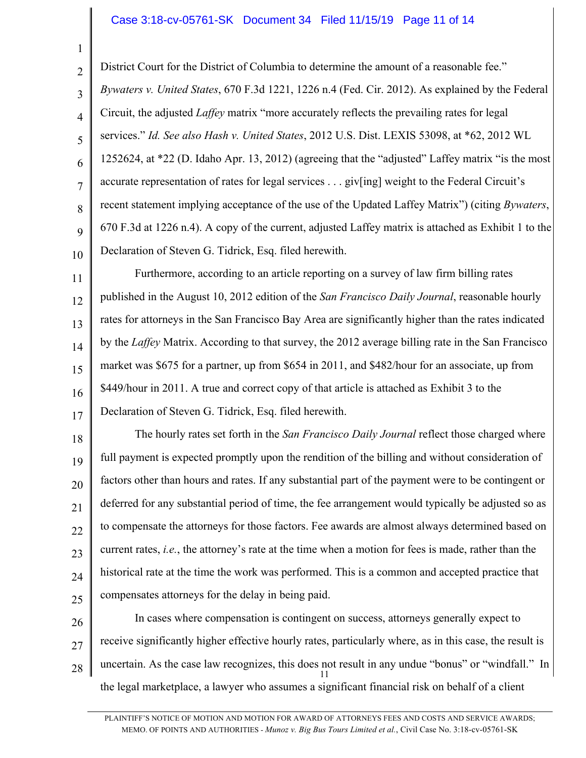### Case 3:18-cv-05761-SK Document 34 Filed 11/15/19 Page 11 of 14

1

2

3

4

5

6

7

8

9

10

District Court for the District of Columbia to determine the amount of a reasonable fee." *Bywaters v. United States*, 670 F.3d 1221, 1226 n.4 (Fed. Cir. 2012). As explained by the Federal Circuit, the adjusted *Laffey* matrix "more accurately reflects the prevailing rates for legal services." *Id. See also Hash v. United States*, 2012 U.S. Dist. LEXIS 53098, at \*62, 2012 WL 1252624, at \*22 (D. Idaho Apr. 13, 2012) (agreeing that the "adjusted" Laffey matrix "is the most accurate representation of rates for legal services . . . giv[ing] weight to the Federal Circuit's recent statement implying acceptance of the use of the Updated Laffey Matrix") (citing *Bywaters*, 670 F.3d at 1226 n.4). A copy of the current, adjusted Laffey matrix is attached as Exhibit 1 to the Declaration of Steven G. Tidrick, Esq. filed herewith.

11 12 13 14 15 16 17 Furthermore, according to an article reporting on a survey of law firm billing rates published in the August 10, 2012 edition of the *San Francisco Daily Journal*, reasonable hourly rates for attorneys in the San Francisco Bay Area are significantly higher than the rates indicated by the *Laffey* Matrix. According to that survey, the 2012 average billing rate in the San Francisco market was \$675 for a partner, up from \$654 in 2011, and \$482/hour for an associate, up from \$449/hour in 2011. A true and correct copy of that article is attached as Exhibit 3 to the Declaration of Steven G. Tidrick, Esq. filed herewith.

18 19 20 21 22 23 24 25 The hourly rates set forth in the *San Francisco Daily Journal* reflect those charged where full payment is expected promptly upon the rendition of the billing and without consideration of factors other than hours and rates. If any substantial part of the payment were to be contingent or deferred for any substantial period of time, the fee arrangement would typically be adjusted so as to compensate the attorneys for those factors. Fee awards are almost always determined based on current rates, *i.e.*, the attorney's rate at the time when a motion for fees is made, rather than the historical rate at the time the work was performed. This is a common and accepted practice that compensates attorneys for the delay in being paid.

26 27 28 11 In cases where compensation is contingent on success, attorneys generally expect to receive significantly higher effective hourly rates, particularly where, as in this case, the result is uncertain. As the case law recognizes, this does not result in any undue "bonus" or "windfall." In the legal marketplace, a lawyer who assumes a significant financial risk on behalf of a client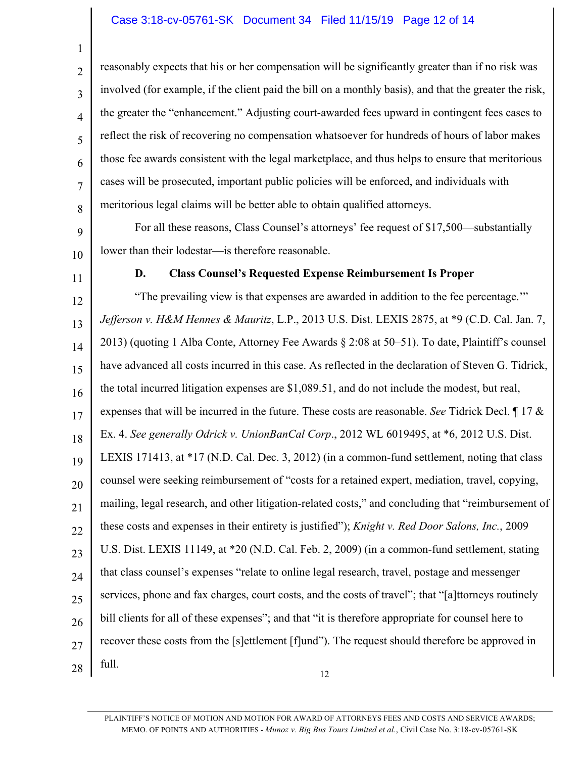# Case 3:18-cv-05761-SK Document 34 Filed 11/15/19 Page 12 of 14

reasonably expects that his or her compensation will be significantly greater than if no risk was involved (for example, if the client paid the bill on a monthly basis), and that the greater the risk, the greater the "enhancement." Adjusting court-awarded fees upward in contingent fees cases to reflect the risk of recovering no compensation whatsoever for hundreds of hours of labor makes those fee awards consistent with the legal marketplace, and thus helps to ensure that meritorious cases will be prosecuted, important public policies will be enforced, and individuals with meritorious legal claims will be better able to obtain qualified attorneys.

9 10 For all these reasons, Class Counsel's attorneys' fee request of \$17,500—substantially lower than their lodestar—is therefore reasonable.

11

1

2

3

4

5

6

7

8

#### **D. Class Counsel's Requested Expense Reimbursement Is Proper**

12 13 14 15 16 17 18 19 20 21 22 23 24 25 26 27 28 12 "The prevailing view is that expenses are awarded in addition to the fee percentage.'" *Jefferson v. H&M Hennes & Mauritz*, L.P., 2013 U.S. Dist. LEXIS 2875, at \*9 (C.D. Cal. Jan. 7, 2013) (quoting 1 Alba Conte, Attorney Fee Awards § 2:08 at 50–51). To date, Plaintiff's counsel have advanced all costs incurred in this case. As reflected in the declaration of Steven G. Tidrick, the total incurred litigation expenses are \$1,089.51, and do not include the modest, but real, expenses that will be incurred in the future. These costs are reasonable. *See* Tidrick Decl. ¶ 17 & Ex. 4. *See generally Odrick v. UnionBanCal Corp*., 2012 WL 6019495, at \*6, 2012 U.S. Dist. LEXIS 171413, at \*17 (N.D. Cal. Dec. 3, 2012) (in a common-fund settlement, noting that class counsel were seeking reimbursement of "costs for a retained expert, mediation, travel, copying, mailing, legal research, and other litigation-related costs," and concluding that "reimbursement of these costs and expenses in their entirety is justified"); *Knight v. Red Door Salons, Inc.*, 2009 U.S. Dist. LEXIS 11149, at \*20 (N.D. Cal. Feb. 2, 2009) (in a common-fund settlement, stating that class counsel's expenses "relate to online legal research, travel, postage and messenger services, phone and fax charges, court costs, and the costs of travel"; that "[a]ttorneys routinely bill clients for all of these expenses"; and that "it is therefore appropriate for counsel here to recover these costs from the [s]ettlement [f]und"). The request should therefore be approved in full.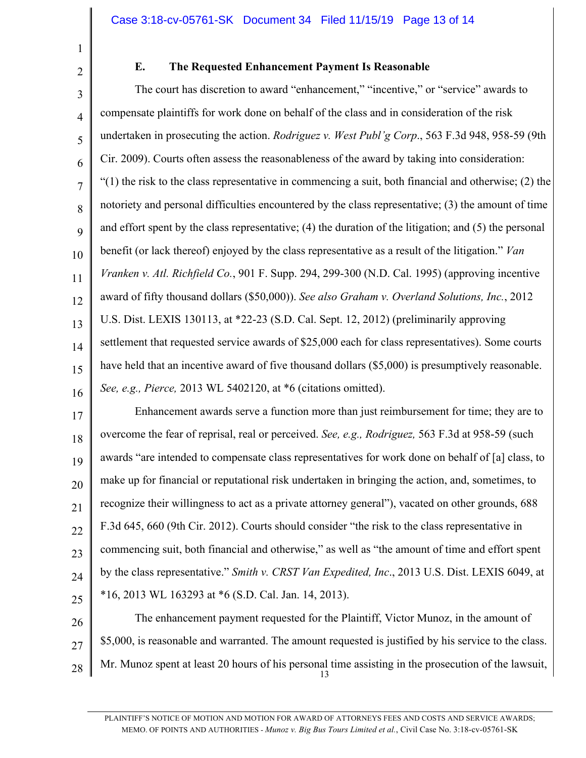# **E. The Requested Enhancement Payment Is Reasonable**

3 4 5 6 7 8 9 10 11 12 13 14 15 16 The court has discretion to award "enhancement," "incentive," or "service" awards to compensate plaintiffs for work done on behalf of the class and in consideration of the risk undertaken in prosecuting the action. *Rodriguez v. West Publ'g Corp*., 563 F.3d 948, 958-59 (9th Cir. 2009). Courts often assess the reasonableness of the award by taking into consideration:  $(1)$  the risk to the class representative in commencing a suit, both financial and otherwise; (2) the notoriety and personal difficulties encountered by the class representative; (3) the amount of time and effort spent by the class representative; (4) the duration of the litigation; and (5) the personal benefit (or lack thereof) enjoyed by the class representative as a result of the litigation." *Van Vranken v. Atl. Richfield Co.*, 901 F. Supp. 294, 299-300 (N.D. Cal. 1995) (approving incentive award of fifty thousand dollars (\$50,000)). *See also Graham v. Overland Solutions, Inc.*, 2012 U.S. Dist. LEXIS 130113, at \*22-23 (S.D. Cal. Sept. 12, 2012) (preliminarily approving settlement that requested service awards of \$25,000 each for class representatives). Some courts have held that an incentive award of five thousand dollars (\$5,000) is presumptively reasonable. *See, e.g., Pierce,* 2013 WL 5402120, at \*6 (citations omitted).

17 18 19 20 21 22 23 24 25 Enhancement awards serve a function more than just reimbursement for time; they are to overcome the fear of reprisal, real or perceived. *See, e.g., Rodriguez,* 563 F.3d at 958-59 (such awards "are intended to compensate class representatives for work done on behalf of [a] class, to make up for financial or reputational risk undertaken in bringing the action, and, sometimes, to recognize their willingness to act as a private attorney general"), vacated on other grounds, 688 F.3d 645, 660 (9th Cir. 2012). Courts should consider "the risk to the class representative in commencing suit, both financial and otherwise," as well as "the amount of time and effort spent by the class representative." *Smith v. CRST Van Expedited, Inc*., 2013 U.S. Dist. LEXIS 6049, at \*16, 2013 WL 163293 at \*6 (S.D. Cal. Jan. 14, 2013).

26 27 28 13 The enhancement payment requested for the Plaintiff, Victor Munoz, in the amount of \$5,000, is reasonable and warranted. The amount requested is justified by his service to the class. Mr. Munoz spent at least 20 hours of his personal time assisting in the prosecution of the lawsuit,